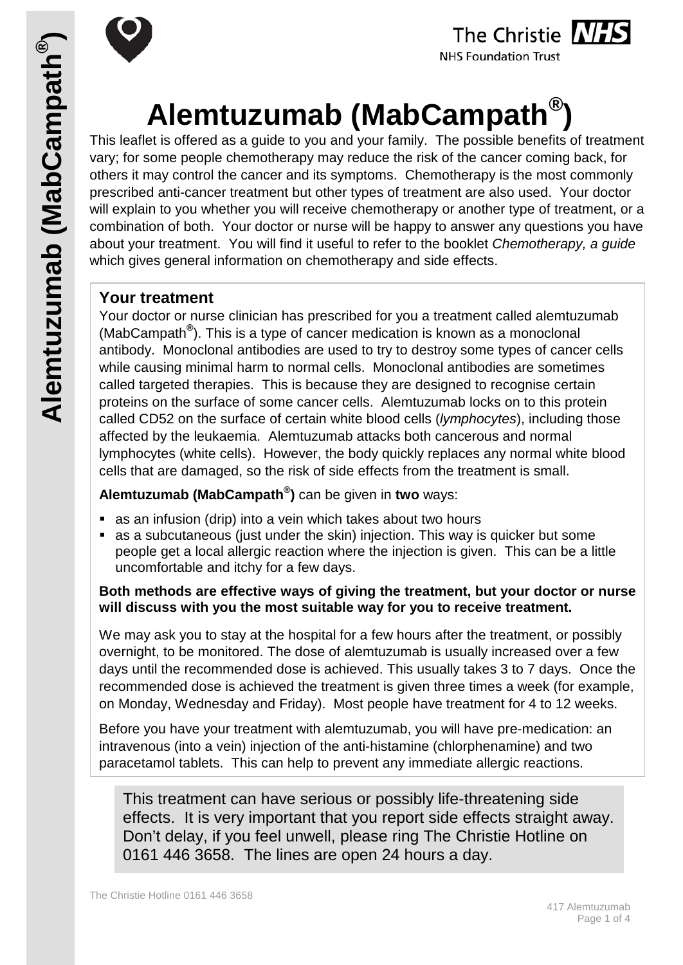



# The Christie NHS

**NHS Foundation Trust** 

# **Alemtuzumab (MabCampath®)**

This leaflet is offered as a guide to you and your family. The possible benefits of treatment vary; for some people chemotherapy may reduce the risk of the cancer coming back, for others it may control the cancer and its symptoms. Chemotherapy is the most commonly prescribed anti-cancer treatment but other types of treatment are also used. Your doctor will explain to you whether you will receive chemotherapy or another type of treatment, or a combination of both. Your doctor or nurse will be happy to answer any questions you have about your treatment. You will find it useful to refer to the booklet *Chemotherapy, a guide* which gives general information on chemotherapy and side effects.

#### **Your treatment**

Your doctor or nurse clinician has prescribed for you a treatment called alemtuzumab (MabCampath**®** ). This is a type of cancer medication is known as a monoclonal antibody. Monoclonal antibodies are used to try to destroy some types of cancer cells while causing minimal harm to normal cells. Monoclonal antibodies are sometimes called targeted therapies. This is because they are designed to recognise certain proteins on the surface of some cancer cells. Alemtuzumab locks on to this protein called CD52 on the surface of certain white blood cells (*lymphocytes*), including those affected by the leukaemia. Alemtuzumab attacks both cancerous and normal lymphocytes (white cells). However, the body quickly replaces any normal white blood cells that are damaged, so the risk of side effects from the treatment is small.

#### **Alemtuzumab (MabCampath® )** can be given in **two** ways:

- as an infusion (drip) into a vein which takes about two hours
- as a subcutaneous (just under the skin) injection. This way is quicker but some people get a local allergic reaction where the injection is given. This can be a little uncomfortable and itchy for a few days.

#### **Both methods are effective ways of giving the treatment, but your doctor or nurse will discuss with you the most suitable way for you to receive treatment.**

We may ask you to stay at the hospital for a few hours after the treatment, or possibly overnight, to be monitored. The dose of alemtuzumab is usually increased over a few days until the recommended dose is achieved. This usually takes 3 to 7 days. Once the recommended dose is achieved the treatment is given three times a week (for example, on Monday, Wednesday and Friday). Most people have treatment for 4 to 12 weeks.

Before you have your treatment with alemtuzumab, you will have pre-medication: an intravenous (into a vein) injection of the anti-histamine (chlorphenamine) and two paracetamol tablets. This can help to prevent any immediate allergic reactions.

This treatment can have serious or possibly life-threatening side effects. It is very important that you report side effects straight away. Don't delay, if you feel unwell, please ring The Christie Hotline on 0161 446 3658. The lines are open 24 hours a day.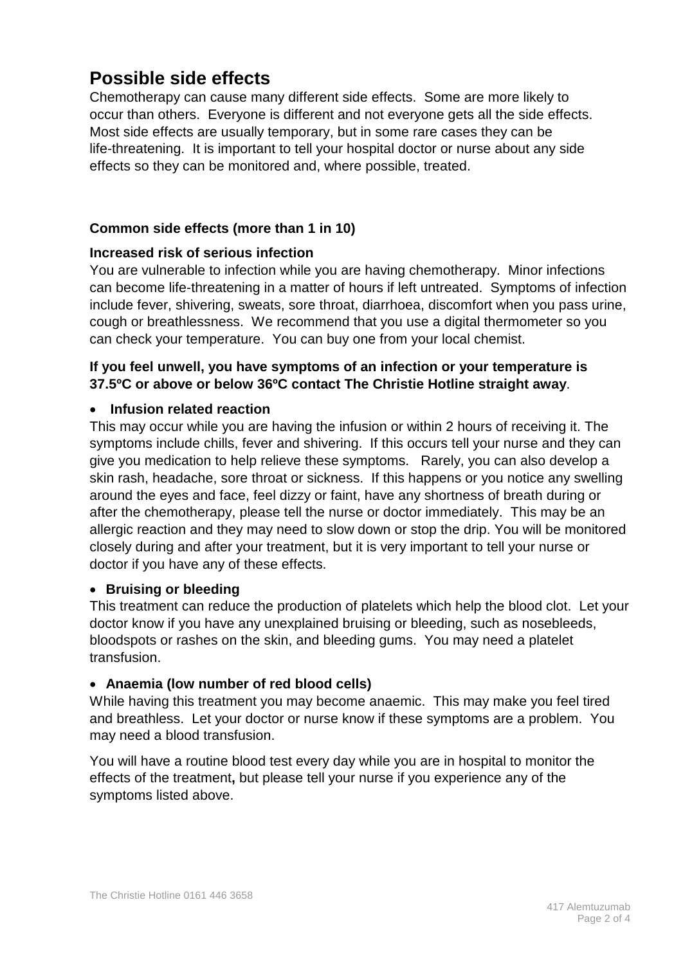# **Possible side effects**

Chemotherapy can cause many different side effects. Some are more likely to occur than others. Everyone is different and not everyone gets all the side effects. Most side effects are usually temporary, but in some rare cases they can be life-threatening. It is important to tell your hospital doctor or nurse about any side effects so they can be monitored and, where possible, treated.

#### **Common side effects (more than 1 in 10)**

#### **Increased risk of serious infection**

You are vulnerable to infection while you are having chemotherapy. Minor infections can become life-threatening in a matter of hours if left untreated. Symptoms of infection include fever, shivering, sweats, sore throat, diarrhoea, discomfort when you pass urine, cough or breathlessness. We recommend that you use a digital thermometer so you can check your temperature. You can buy one from your local chemist.

#### **If you feel unwell, you have symptoms of an infection or your temperature is 37.5ºC or above or below 36ºC contact The Christie Hotline straight away**.

#### • **Infusion related reaction**

This may occur while you are having the infusion or within 2 hours of receiving it. The symptoms include chills, fever and shivering. If this occurs tell your nurse and they can give you medication to help relieve these symptoms. Rarely, you can also develop a skin rash, headache, sore throat or sickness. If this happens or you notice any swelling around the eyes and face, feel dizzy or faint, have any shortness of breath during or after the chemotherapy, please tell the nurse or doctor immediately. This may be an allergic reaction and they may need to slow down or stop the drip. You will be monitored closely during and after your treatment, but it is very important to tell your nurse or doctor if you have any of these effects.

#### • **Bruising or bleeding**

This treatment can reduce the production of platelets which help the blood clot. Let your doctor know if you have any unexplained bruising or bleeding, such as nosebleeds, bloodspots or rashes on the skin, and bleeding gums. You may need a platelet transfusion.

#### • **Anaemia (low number of red blood cells)**

While having this treatment you may become anaemic. This may make you feel tired and breathless. Let your doctor or nurse know if these symptoms are a problem. You may need a blood transfusion.

You will have a routine blood test every day while you are in hospital to monitor the effects of the treatment**,** but please tell your nurse if you experience any of the symptoms listed above.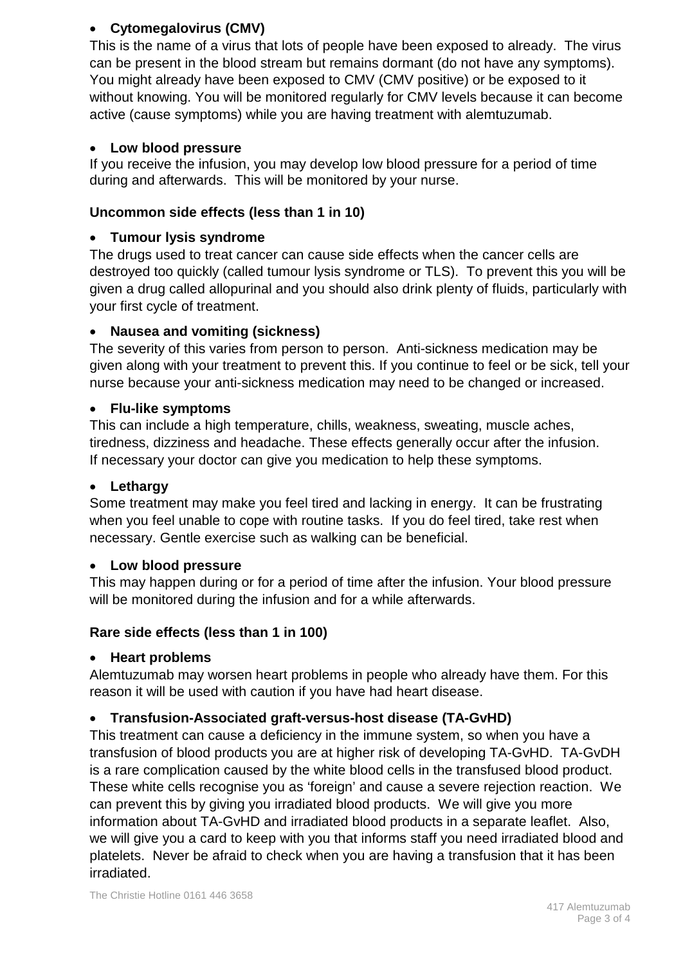#### • **Cytomegalovirus (CMV)**

This is the name of a virus that lots of people have been exposed to already. The virus can be present in the blood stream but remains dormant (do not have any symptoms). You might already have been exposed to CMV (CMV positive) or be exposed to it without knowing. You will be monitored regularly for CMV levels because it can become active (cause symptoms) while you are having treatment with alemtuzumab.

#### • **Low blood pressure**

If you receive the infusion, you may develop low blood pressure for a period of time during and afterwards. This will be monitored by your nurse.

#### **Uncommon side effects (less than 1 in 10)**

#### • **Tumour lysis syndrome**

The drugs used to treat cancer can cause side effects when the cancer cells are destroyed too quickly (called tumour lysis syndrome or TLS). To prevent this you will be given a drug called allopurinal and you should also drink plenty of fluids, particularly with your first cycle of treatment.

#### • **Nausea and vomiting (sickness)**

The severity of this varies from person to person. Anti-sickness medication may be given along with your treatment to prevent this. If you continue to feel or be sick, tell your nurse because your anti-sickness medication may need to be changed or increased.

#### • **Flu-like symptoms**

This can include a high temperature, chills, weakness, sweating, muscle aches, tiredness, dizziness and headache. These effects generally occur after the infusion. If necessary your doctor can give you medication to help these symptoms.

#### • **Lethargy**

Some treatment may make you feel tired and lacking in energy. It can be frustrating when you feel unable to cope with routine tasks. If you do feel tired, take rest when necessary. Gentle exercise such as walking can be beneficial.

#### • **Low blood pressure**

This may happen during or for a period of time after the infusion. Your blood pressure will be monitored during the infusion and for a while afterwards.

#### **Rare side effects (less than 1 in 100)**

#### • **Heart problems**

Alemtuzumab may worsen heart problems in people who already have them. For this reason it will be used with caution if you have had heart disease.

#### • **Transfusion-Associated graft-versus-host disease (TA-GvHD)**

This treatment can cause a deficiency in the immune system, so when you have a transfusion of blood products you are at higher risk of developing TA-GvHD. TA-GvDH is a rare complication caused by the white blood cells in the transfused blood product. These white cells recognise you as 'foreign' and cause a severe rejection reaction. We can prevent this by giving you irradiated blood products. We will give you more information about TA-GvHD and irradiated blood products in a separate leaflet. Also, we will give you a card to keep with you that informs staff you need irradiated blood and platelets. Never be afraid to check when you are having a transfusion that it has been irradiated.